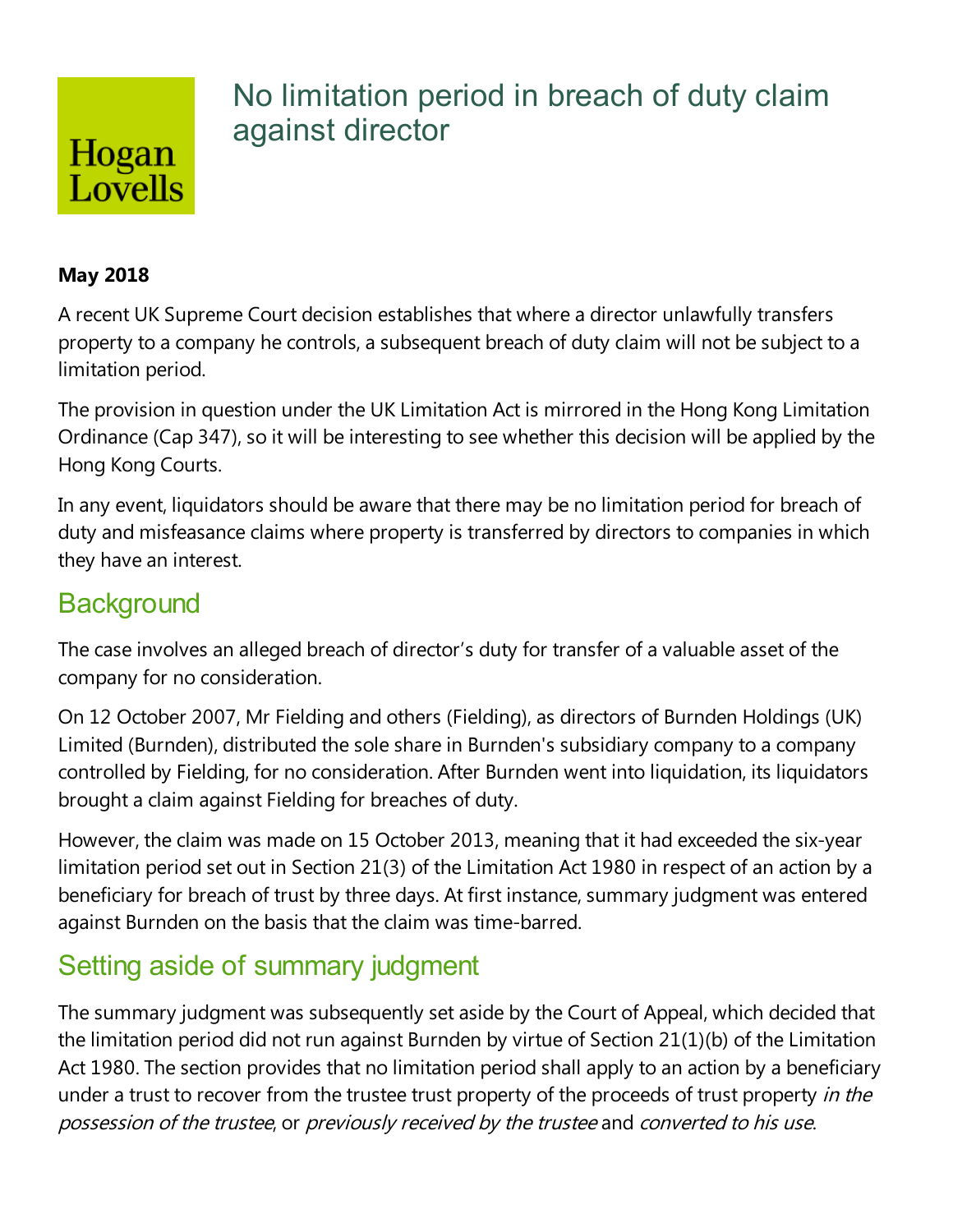# Hogan Lovells

## No limitation period in breach of duty claim against director

#### **May 2018**

A recent UK Supreme Court decision establishes that where a director unlawfully transfers property to a company he controls, a subsequent breach of duty claim will not be subject to a limitation period.

The provision in question under the UK Limitation Act is mirrored in the Hong Kong Limitation Ordinance (Cap 347), so it will be interesting to see whether this decision will be applied by the Hong Kong Courts.

In any event, liquidators should be aware that there may be no limitation period for breach of duty and misfeasance claims where property is transferred by directors to companies in which they have an interest.

### **Background**

The case involves an alleged breach of director's duty for transfer of a valuable asset of the company for no consideration.

On 12 October 2007, Mr Fielding and others (Fielding), as directors of Burnden Holdings (UK) Limited (Burnden), distributed the sole share in Burnden's subsidiary company to a company controlled by Fielding, for no consideration. After Burnden went into liquidation, its liquidators brought a claim against Fielding for breaches of duty.

However, the claim was made on 15 October 2013, meaning that it had exceeded the six-year limitation period set out in Section 21(3) of the Limitation Act 1980 in respect of an action by a beneficiary for breach of trust by three days. At first instance, summary judgment was entered against Burnden on the basis that the claim was time-barred.

# Setting aside of summary judgment

The summary judgment was subsequently set aside by the Court of Appeal, which decided that the limitation period did not run against Burnden by virtue of Section  $21(1)(b)$  of the Limitation Act 1980. The section provides that no limitation period shall apply to an action by a beneficiary under a trust to recover from the trustee trust property of the proceeds of trust property in the possession of the trustee, or previously received by the trustee and converted to his use.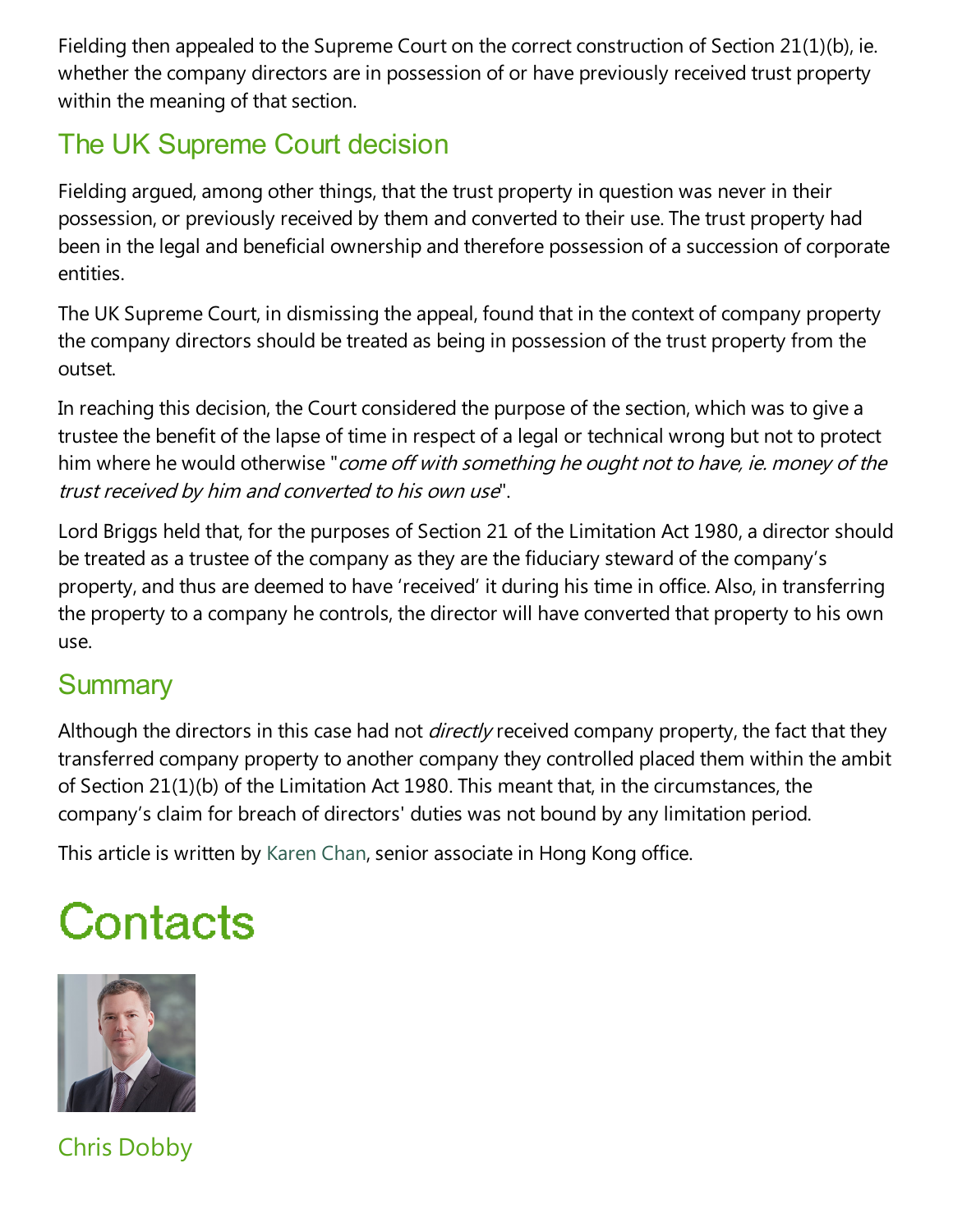Fielding then appealed to the Supreme Court on the correct construction of Section 21(1)(b), ie. whether the company directors are in possession of or have previously received trust property within the meaning of that section.

## The UK Supreme Court decision

Fielding argued, among other things, that the trust property in question was never in their possession, or previously received by them and converted to their use. The trust property had been in the legal and beneficial ownership and therefore possession of a succession of corporate entities.

The UK Supreme Court, in dismissing the appeal, found that in the context of company property the company directors should be treated as being in possession of the trust property from the outset.

In reaching this decision, the Court considered the purpose of the section, which was to give a trustee the benefit of the lapse of time in respect of a legal or technical wrong but not to protect him where he would otherwise "*come off with something he ought not to have, ie. money of the* trust received by him and converted to his own use".

Lord Briggs held that, for the purposes of Section 21 of the Limitation Act 1980, a director should be treated as a trustee of the company as they are the fiduciary steward of the company's property, and thus are deemed to have 'received' it during his time in office. Also, in transferring the property to a company he controls, the director will have converted that property to his own use.

### **Summary**

Although the directors in this case had not *directly* received company property, the fact that they transferred company property to another company they controlled placed them within the ambit of Section 21(1)(b) of the Limitation Act 1980. This meant that, in the circumstances, the company's claim for breach of directors' duties was not bound by any limitation period.

This article is written by Karen Chan, senior associate in Hong Kong office.

# Contacts



Chris Dobby